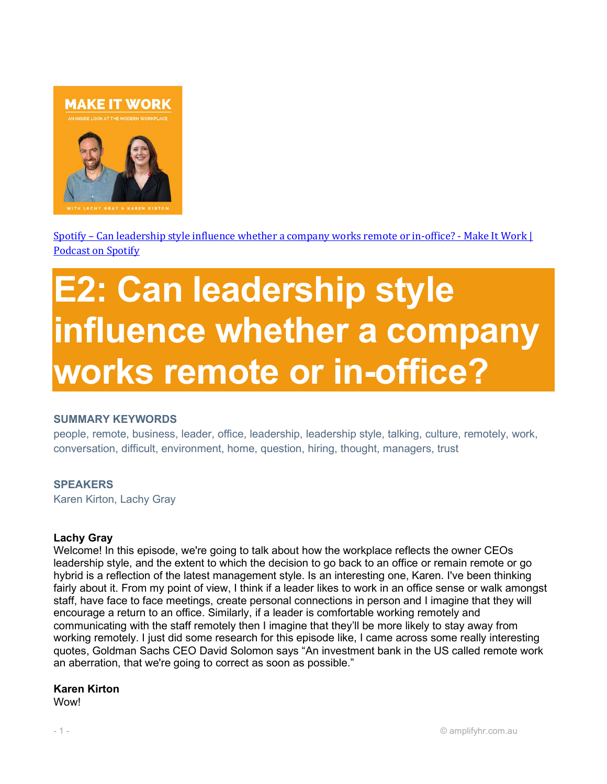

Spotify – Can leadership style influence whether a company works remote or in-office? - Make It Work | Podcast on Spotify

# E2: Can leadership style influence whether a company works remote or in-office?

#### SUMMARY KEYWORDS

people, remote, business, leader, office, leadership, leadership style, talking, culture, remotely, work, conversation, difficult, environment, home, question, hiring, thought, managers, trust

## **SPEAKERS**

Karen Kirton, Lachy Gray

#### Lachy Gray

Welcome! In this episode, we're going to talk about how the workplace reflects the owner CEOs leadership style, and the extent to which the decision to go back to an office or remain remote or go hybrid is a reflection of the latest management style. Is an interesting one, Karen. I've been thinking fairly about it. From my point of view, I think if a leader likes to work in an office sense or walk amongst staff, have face to face meetings, create personal connections in person and I imagine that they will encourage a return to an office. Similarly, if a leader is comfortable working remotely and communicating with the staff remotely then I imagine that they'll be more likely to stay away from working remotely. I just did some research for this episode like, I came across some really interesting quotes, Goldman Sachs CEO David Solomon says "An investment bank in the US called remote work an aberration, that we're going to correct as soon as possible."

#### Karen Kirton

**Wow!**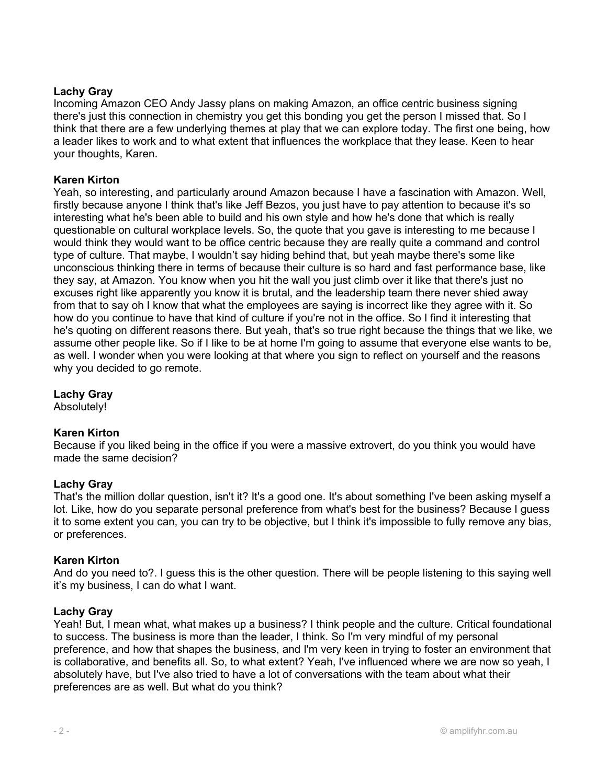## Lachy Gray

Incoming Amazon CEO Andy Jassy plans on making Amazon, an office centric business signing there's just this connection in chemistry you get this bonding you get the person I missed that. So I think that there are a few underlying themes at play that we can explore today. The first one being, how a leader likes to work and to what extent that influences the workplace that they lease. Keen to hear your thoughts, Karen.

#### Karen Kirton

Yeah, so interesting, and particularly around Amazon because I have a fascination with Amazon. Well, firstly because anyone I think that's like Jeff Bezos, you just have to pay attention to because it's so interesting what he's been able to build and his own style and how he's done that which is really questionable on cultural workplace levels. So, the quote that you gave is interesting to me because I would think they would want to be office centric because they are really quite a command and control type of culture. That maybe, I wouldn't say hiding behind that, but yeah maybe there's some like unconscious thinking there in terms of because their culture is so hard and fast performance base, like they say, at Amazon. You know when you hit the wall you just climb over it like that there's just no excuses right like apparently you know it is brutal, and the leadership team there never shied away from that to say oh I know that what the employees are saying is incorrect like they agree with it. So how do you continue to have that kind of culture if you're not in the office. So I find it interesting that he's quoting on different reasons there. But yeah, that's so true right because the things that we like, we assume other people like. So if I like to be at home I'm going to assume that everyone else wants to be, as well. I wonder when you were looking at that where you sign to reflect on yourself and the reasons why you decided to go remote.

## Lachy Gray

Absolutely!

## Karen Kirton

Because if you liked being in the office if you were a massive extrovert, do you think you would have made the same decision?

#### Lachy Gray

That's the million dollar question, isn't it? It's a good one. It's about something I've been asking myself a lot. Like, how do you separate personal preference from what's best for the business? Because I guess it to some extent you can, you can try to be objective, but I think it's impossible to fully remove any bias, or preferences.

#### Karen Kirton

And do you need to?. I guess this is the other question. There will be people listening to this saying well it's my business, I can do what I want.

#### Lachy Gray

Yeah! But, I mean what, what makes up a business? I think people and the culture. Critical foundational to success. The business is more than the leader, I think. So I'm very mindful of my personal preference, and how that shapes the business, and I'm very keen in trying to foster an environment that is collaborative, and benefits all. So, to what extent? Yeah, I've influenced where we are now so yeah, I absolutely have, but I've also tried to have a lot of conversations with the team about what their preferences are as well. But what do you think?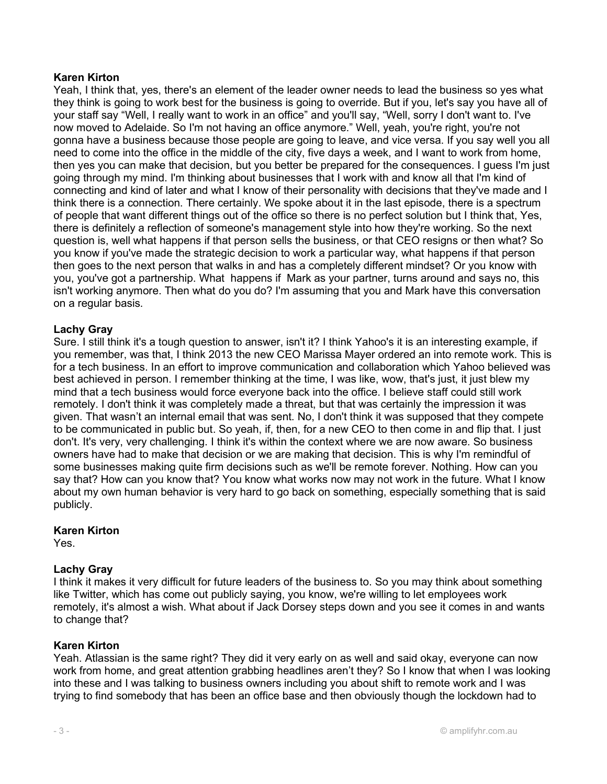Yeah, I think that, yes, there's an element of the leader owner needs to lead the business so yes what they think is going to work best for the business is going to override. But if you, let's say you have all of your staff say "Well, I really want to work in an office" and you'll say, "Well, sorry I don't want to. I've now moved to Adelaide. So I'm not having an office anymore." Well, yeah, you're right, you're not gonna have a business because those people are going to leave, and vice versa. If you say well you all need to come into the office in the middle of the city, five days a week, and I want to work from home, then yes you can make that decision, but you better be prepared for the consequences. I guess I'm just going through my mind. I'm thinking about businesses that I work with and know all that I'm kind of connecting and kind of later and what I know of their personality with decisions that they've made and I think there is a connection. There certainly. We spoke about it in the last episode, there is a spectrum of people that want different things out of the office so there is no perfect solution but I think that, Yes, there is definitely a reflection of someone's management style into how they're working. So the next question is, well what happens if that person sells the business, or that CEO resigns or then what? So you know if you've made the strategic decision to work a particular way, what happens if that person then goes to the next person that walks in and has a completely different mindset? Or you know with you, you've got a partnership. What happens if Mark as your partner, turns around and says no, this isn't working anymore. Then what do you do? I'm assuming that you and Mark have this conversation on a regular basis.

## Lachy Gray

Sure. I still think it's a tough question to answer, isn't it? I think Yahoo's it is an interesting example, if you remember, was that, I think 2013 the new CEO Marissa Mayer ordered an into remote work. This is for a tech business. In an effort to improve communication and collaboration which Yahoo believed was best achieved in person. I remember thinking at the time, I was like, wow, that's just, it just blew my mind that a tech business would force everyone back into the office. I believe staff could still work remotely. I don't think it was completely made a threat, but that was certainly the impression it was given. That wasn't an internal email that was sent. No, I don't think it was supposed that they compete to be communicated in public but. So yeah, if, then, for a new CEO to then come in and flip that. I just don't. It's very, very challenging. I think it's within the context where we are now aware. So business owners have had to make that decision or we are making that decision. This is why I'm remindful of some businesses making quite firm decisions such as we'll be remote forever. Nothing. How can you say that? How can you know that? You know what works now may not work in the future. What I know about my own human behavior is very hard to go back on something, especially something that is said publicly.

## Karen Kirton

Yes.

## Lachy Gray

I think it makes it very difficult for future leaders of the business to. So you may think about something like Twitter, which has come out publicly saying, you know, we're willing to let employees work remotely, it's almost a wish. What about if Jack Dorsey steps down and you see it comes in and wants to change that?

## Karen Kirton

Yeah. Atlassian is the same right? They did it very early on as well and said okay, everyone can now work from home, and great attention grabbing headlines aren't they? So I know that when I was looking into these and I was talking to business owners including you about shift to remote work and I was trying to find somebody that has been an office base and then obviously though the lockdown had to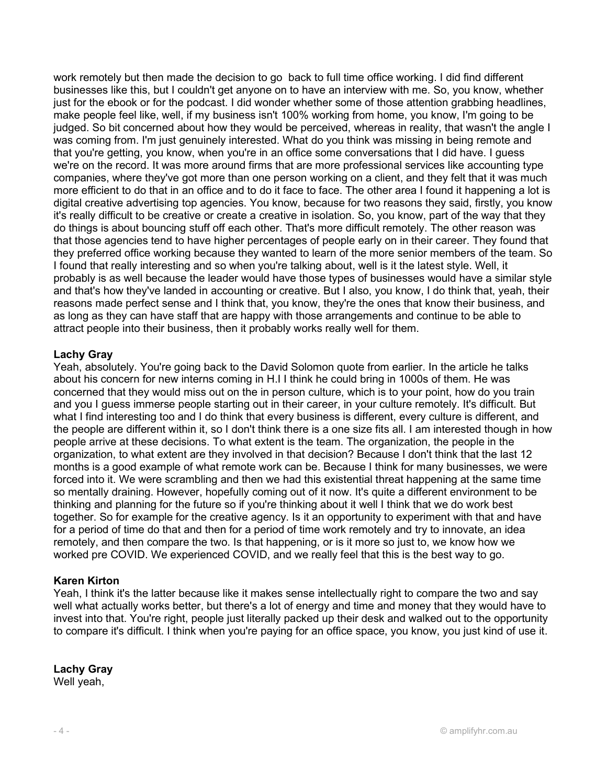work remotely but then made the decision to go back to full time office working. I did find different businesses like this, but I couldn't get anyone on to have an interview with me. So, you know, whether just for the ebook or for the podcast. I did wonder whether some of those attention grabbing headlines, make people feel like, well, if my business isn't 100% working from home, you know, I'm going to be judged. So bit concerned about how they would be perceived, whereas in reality, that wasn't the angle I was coming from. I'm just genuinely interested. What do you think was missing in being remote and that you're getting, you know, when you're in an office some conversations that I did have. I guess we're on the record. It was more around firms that are more professional services like accounting type companies, where they've got more than one person working on a client, and they felt that it was much more efficient to do that in an office and to do it face to face. The other area I found it happening a lot is digital creative advertising top agencies. You know, because for two reasons they said, firstly, you know it's really difficult to be creative or create a creative in isolation. So, you know, part of the way that they do things is about bouncing stuff off each other. That's more difficult remotely. The other reason was that those agencies tend to have higher percentages of people early on in their career. They found that they preferred office working because they wanted to learn of the more senior members of the team. So I found that really interesting and so when you're talking about, well is it the latest style. Well, it probably is as well because the leader would have those types of businesses would have a similar style and that's how they've landed in accounting or creative. But I also, you know, I do think that, yeah, their reasons made perfect sense and I think that, you know, they're the ones that know their business, and as long as they can have staff that are happy with those arrangements and continue to be able to attract people into their business, then it probably works really well for them.

## Lachy Gray

Yeah, absolutely. You're going back to the David Solomon quote from earlier. In the article he talks about his concern for new interns coming in H.I I think he could bring in 1000s of them. He was concerned that they would miss out on the in person culture, which is to your point, how do you train and you I guess immerse people starting out in their career, in your culture remotely. It's difficult. But what I find interesting too and I do think that every business is different, every culture is different, and the people are different within it, so I don't think there is a one size fits all. I am interested though in how people arrive at these decisions. To what extent is the team. The organization, the people in the organization, to what extent are they involved in that decision? Because I don't think that the last 12 months is a good example of what remote work can be. Because I think for many businesses, we were forced into it. We were scrambling and then we had this existential threat happening at the same time so mentally draining. However, hopefully coming out of it now. It's quite a different environment to be thinking and planning for the future so if you're thinking about it well I think that we do work best together. So for example for the creative agency. Is it an opportunity to experiment with that and have for a period of time do that and then for a period of time work remotely and try to innovate, an idea remotely, and then compare the two. Is that happening, or is it more so just to, we know how we worked pre COVID. We experienced COVID, and we really feel that this is the best way to go.

#### Karen Kirton

Yeah, I think it's the latter because like it makes sense intellectually right to compare the two and say well what actually works better, but there's a lot of energy and time and money that they would have to invest into that. You're right, people just literally packed up their desk and walked out to the opportunity to compare it's difficult. I think when you're paying for an office space, you know, you just kind of use it.

## Lachy Gray

Well yeah.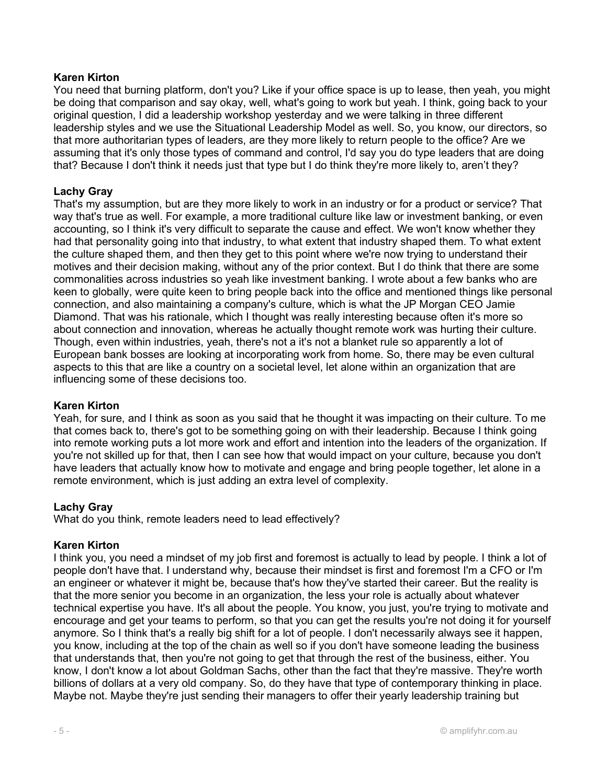You need that burning platform, don't you? Like if your office space is up to lease, then yeah, you might be doing that comparison and say okay, well, what's going to work but yeah. I think, going back to your original question, I did a leadership workshop yesterday and we were talking in three different leadership styles and we use the Situational Leadership Model as well. So, you know, our directors, so that more authoritarian types of leaders, are they more likely to return people to the office? Are we assuming that it's only those types of command and control, I'd say you do type leaders that are doing that? Because I don't think it needs just that type but I do think they're more likely to, aren't they?

## Lachy Gray

That's my assumption, but are they more likely to work in an industry or for a product or service? That way that's true as well. For example, a more traditional culture like law or investment banking, or even accounting, so I think it's very difficult to separate the cause and effect. We won't know whether they had that personality going into that industry, to what extent that industry shaped them. To what extent the culture shaped them, and then they get to this point where we're now trying to understand their motives and their decision making, without any of the prior context. But I do think that there are some commonalities across industries so yeah like investment banking. I wrote about a few banks who are keen to globally, were quite keen to bring people back into the office and mentioned things like personal connection, and also maintaining a company's culture, which is what the JP Morgan CEO Jamie Diamond. That was his rationale, which I thought was really interesting because often it's more so about connection and innovation, whereas he actually thought remote work was hurting their culture. Though, even within industries, yeah, there's not a it's not a blanket rule so apparently a lot of European bank bosses are looking at incorporating work from home. So, there may be even cultural aspects to this that are like a country on a societal level, let alone within an organization that are influencing some of these decisions too.

## Karen Kirton

Yeah, for sure, and I think as soon as you said that he thought it was impacting on their culture. To me that comes back to, there's got to be something going on with their leadership. Because I think going into remote working puts a lot more work and effort and intention into the leaders of the organization. If you're not skilled up for that, then I can see how that would impact on your culture, because you don't have leaders that actually know how to motivate and engage and bring people together, let alone in a remote environment, which is just adding an extra level of complexity.

#### Lachy Gray

What do you think, remote leaders need to lead effectively?

#### Karen Kirton

I think you, you need a mindset of my job first and foremost is actually to lead by people. I think a lot of people don't have that. I understand why, because their mindset is first and foremost I'm a CFO or I'm an engineer or whatever it might be, because that's how they've started their career. But the reality is that the more senior you become in an organization, the less your role is actually about whatever technical expertise you have. It's all about the people. You know, you just, you're trying to motivate and encourage and get your teams to perform, so that you can get the results you're not doing it for yourself anymore. So I think that's a really big shift for a lot of people. I don't necessarily always see it happen, you know, including at the top of the chain as well so if you don't have someone leading the business that understands that, then you're not going to get that through the rest of the business, either. You know, I don't know a lot about Goldman Sachs, other than the fact that they're massive. They're worth billions of dollars at a very old company. So, do they have that type of contemporary thinking in place. Maybe not. Maybe they're just sending their managers to offer their yearly leadership training but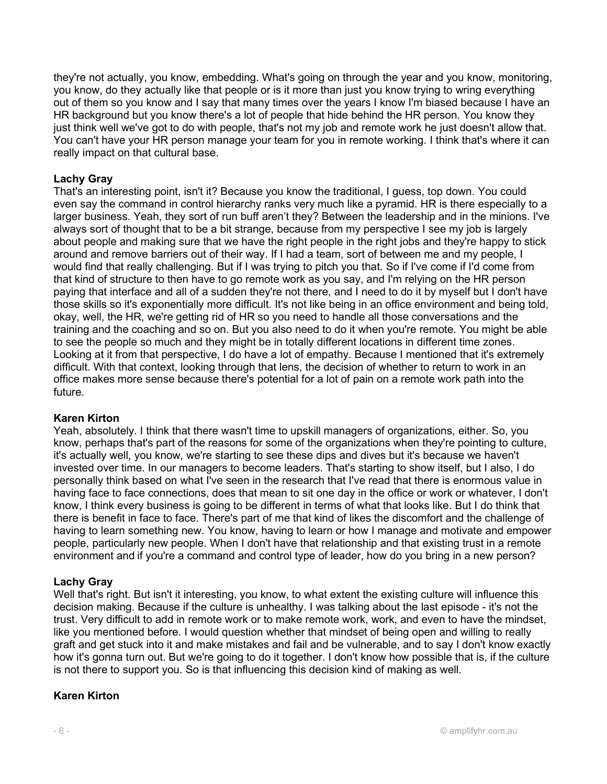they're not actually, you know, embedding. What's going on through the year and you know, monitoring, you know, do they actually like that people or is it more than just you know trying to wring everything out of them so you know and I say that many times over the years I know I'm biased because I have an HR background but you know there's a lot of people that hide behind the HR person. You know they just think well we've got to do with people, that's not my job and remote work he just doesn't allow that. You can't have your HR person manage your team for you in remote working. I think that's where it can really impact on that cultural base.

## Lachy Gray

That's an interesting point, isn't it? Because you know the traditional, I guess, top down. You could even say the command in control hierarchy ranks very much like a pyramid. HR is there especially to a larger business. Yeah, they sort of run buff aren't they? Between the leadership and in the minions. I've always sort of thought that to be a bit strange, because from my perspective I see my job is largely about people and making sure that we have the right people in the right jobs and they're happy to stick around and remove barriers out of their way. If I had a team, sort of between me and my people, I would find that really challenging. But if I was trying to pitch you that. So if I've come if I'd come from that kind of structure to then have to go remote work as you say, and I'm relying on the HR person paying that interface and all of a sudden they're not there, and I need to do it by myself but I don't have those skills so it's exponentially more difficult. It's not like being in an office environment and being told, okay, well, the HR, we're getting rid of HR so you need to handle all those conversations and the training and the coaching and so on. But you also need to do it when you're remote. You might be able to see the people so much and they might be in totally different locations in different time zones. Looking at it from that perspective, I do have a lot of empathy. Because I mentioned that it's extremely difficult. With that context, looking through that lens, the decision of whether to return to work in an office makes more sense because there's potential for a lot of pain on a remote work path into the future.

## Karen Kirton

Yeah, absolutely. I think that there wasn't time to upskill managers of organizations, either. So, you know, perhaps that's part of the reasons for some of the organizations when they're pointing to culture, it's actually well, you know, we're starting to see these dips and dives but it's because we haven't invested over time. In our managers to become leaders. That's starting to show itself, but I also, I do personally think based on what I've seen in the research that I've read that there is enormous value in having face to face connections, does that mean to sit one day in the office or work or whatever, I don't know, I think every business is going to be different in terms of what that looks like. But I do think that there is benefit in face to face. There's part of me that kind of likes the discomfort and the challenge of having to learn something new. You know, having to learn or how I manage and motivate and empower people, particularly new people. When I don't have that relationship and that existing trust in a remote environment and if you're a command and control type of leader, how do you bring in a new person?

## Lachy Gray

Well that's right. But isn't it interesting, you know, to what extent the existing culture will influence this decision making. Because if the culture is unhealthy. I was talking about the last episode - it's not the trust. Very difficult to add in remote work or to make remote work, work, and even to have the mindset, like you mentioned before. I would question whether that mindset of being open and willing to really graft and get stuck into it and make mistakes and fail and be vulnerable, and to say I don't know exactly how it's gonna turn out. But we're going to do it together. I don't know how possible that is, if the culture is not there to support you. So is that influencing this decision kind of making as well.

## Karen Kirton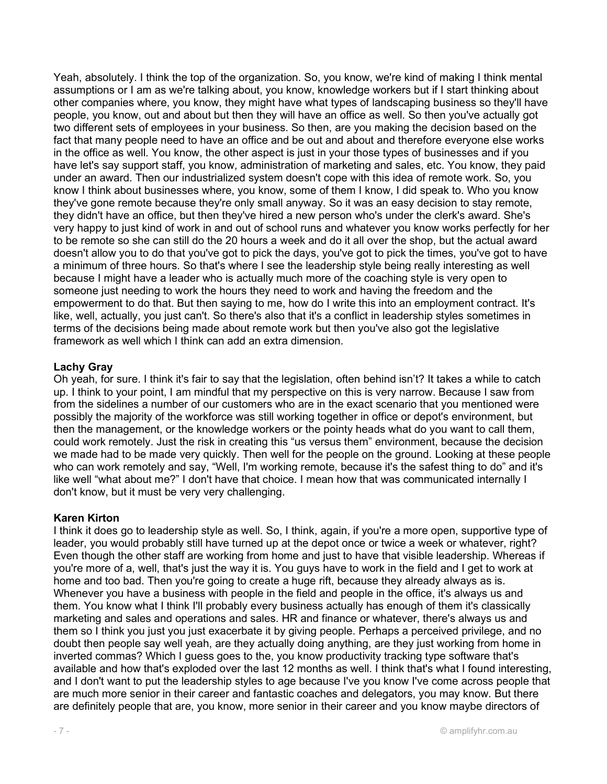Yeah, absolutely. I think the top of the organization. So, you know, we're kind of making I think mental assumptions or I am as we're talking about, you know, knowledge workers but if I start thinking about other companies where, you know, they might have what types of landscaping business so they'll have people, you know, out and about but then they will have an office as well. So then you've actually got two different sets of employees in your business. So then, are you making the decision based on the fact that many people need to have an office and be out and about and therefore everyone else works in the office as well. You know, the other aspect is just in your those types of businesses and if you have let's say support staff, you know, administration of marketing and sales, etc. You know, they paid under an award. Then our industrialized system doesn't cope with this idea of remote work. So, you know I think about businesses where, you know, some of them I know, I did speak to. Who you know they've gone remote because they're only small anyway. So it was an easy decision to stay remote, they didn't have an office, but then they've hired a new person who's under the clerk's award. She's very happy to just kind of work in and out of school runs and whatever you know works perfectly for her to be remote so she can still do the 20 hours a week and do it all over the shop, but the actual award doesn't allow you to do that you've got to pick the days, you've got to pick the times, you've got to have a minimum of three hours. So that's where I see the leadership style being really interesting as well because I might have a leader who is actually much more of the coaching style is very open to someone just needing to work the hours they need to work and having the freedom and the empowerment to do that. But then saying to me, how do I write this into an employment contract. It's like, well, actually, you just can't. So there's also that it's a conflict in leadership styles sometimes in terms of the decisions being made about remote work but then you've also got the legislative framework as well which I think can add an extra dimension.

## Lachy Gray

Oh yeah, for sure. I think it's fair to say that the legislation, often behind isn't? It takes a while to catch up. I think to your point, I am mindful that my perspective on this is very narrow. Because I saw from from the sidelines a number of our customers who are in the exact scenario that you mentioned were possibly the majority of the workforce was still working together in office or depot's environment, but then the management, or the knowledge workers or the pointy heads what do you want to call them, could work remotely. Just the risk in creating this "us versus them" environment, because the decision we made had to be made very quickly. Then well for the people on the ground. Looking at these people who can work remotely and say, "Well, I'm working remote, because it's the safest thing to do" and it's like well "what about me?" I don't have that choice. I mean how that was communicated internally I don't know, but it must be very very challenging.

#### Karen Kirton

I think it does go to leadership style as well. So, I think, again, if you're a more open, supportive type of leader, you would probably still have turned up at the depot once or twice a week or whatever, right? Even though the other staff are working from home and just to have that visible leadership. Whereas if you're more of a, well, that's just the way it is. You guys have to work in the field and I get to work at home and too bad. Then you're going to create a huge rift, because they already always as is. Whenever you have a business with people in the field and people in the office, it's always us and them. You know what I think I'll probably every business actually has enough of them it's classically marketing and sales and operations and sales. HR and finance or whatever, there's always us and them so I think you just you just exacerbate it by giving people. Perhaps a perceived privilege, and no doubt then people say well yeah, are they actually doing anything, are they just working from home in inverted commas? Which I guess goes to the, you know productivity tracking type software that's available and how that's exploded over the last 12 months as well. I think that's what I found interesting, and I don't want to put the leadership styles to age because I've you know I've come across people that are much more senior in their career and fantastic coaches and delegators, you may know. But there are definitely people that are, you know, more senior in their career and you know maybe directors of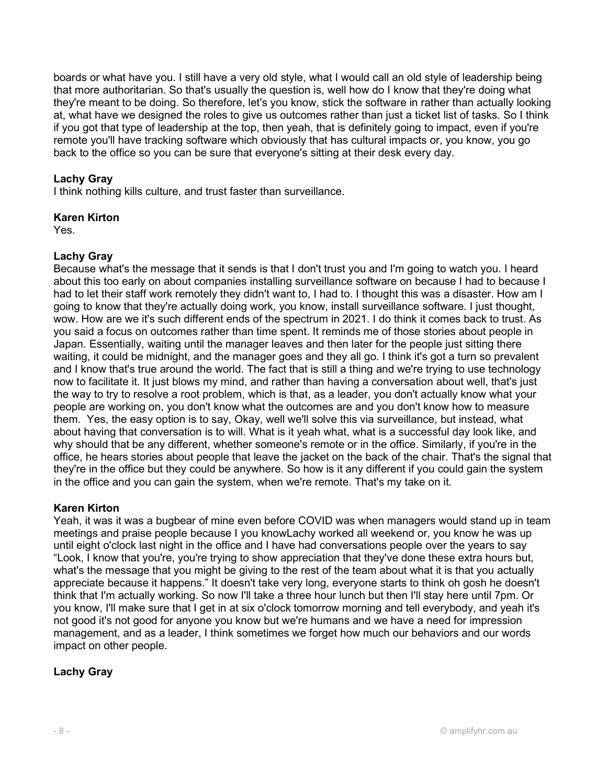boards or what have you. I still have a very old style, what I would call an old style of leadership being that more authoritarian. So that's usually the question is, well how do I know that they're doing what they're meant to be doing. So therefore, let's you know, stick the software in rather than actually looking at, what have we designed the roles to give us outcomes rather than just a ticket list of tasks. So I think if you got that type of leadership at the top, then yeah, that is definitely going to impact, even if you're remote you'll have tracking software which obviously that has cultural impacts or, you know, you go back to the office so you can be sure that everyone's sitting at their desk every day.

## Lachy Gray

I think nothing kills culture, and trust faster than surveillance.

## Karen Kirton

Yes.

## Lachy Gray

Because what's the message that it sends is that I don't trust you and I'm going to watch you. I heard about this too early on about companies installing surveillance software on because I had to because I had to let their staff work remotely they didn't want to, I had to. I thought this was a disaster. How am I going to know that they're actually doing work, you know, install surveillance software. I just thought, wow. How are we it's such different ends of the spectrum in 2021. I do think it comes back to trust. As you said a focus on outcomes rather than time spent. It reminds me of those stories about people in Japan. Essentially, waiting until the manager leaves and then later for the people just sitting there waiting, it could be midnight, and the manager goes and they all go. I think it's got a turn so prevalent and I know that's true around the world. The fact that is still a thing and we're trying to use technology now to facilitate it. It just blows my mind, and rather than having a conversation about well, that's just the way to try to resolve a root problem, which is that, as a leader, you don't actually know what your people are working on, you don't know what the outcomes are and you don't know how to measure them. Yes, the easy option is to say, Okay, well we'll solve this via surveillance, but instead, what about having that conversation is to will. What is it yeah what, what is a successful day look like, and why should that be any different, whether someone's remote or in the office. Similarly, if you're in the office, he hears stories about people that leave the jacket on the back of the chair. That's the signal that they're in the office but they could be anywhere. So how is it any different if you could gain the system in the office and you can gain the system, when we're remote. That's my take on it.

## Karen Kirton

Yeah, it was it was a bugbear of mine even before COVID was when managers would stand up in team meetings and praise people because I you knowLachy worked all weekend or, you know he was up until eight o'clock last night in the office and I have had conversations people over the years to say "Look, I know that you're, you're trying to show appreciation that they've done these extra hours but, what's the message that you might be giving to the rest of the team about what it is that you actually appreciate because it happens." It doesn't take very long, everyone starts to think oh gosh he doesn't think that I'm actually working. So now I'll take a three hour lunch but then I'll stay here until 7pm. Or you know, I'll make sure that I get in at six o'clock tomorrow morning and tell everybody, and yeah it's not good it's not good for anyone you know but we're humans and we have a need for impression management, and as a leader, I think sometimes we forget how much our behaviors and our words impact on other people.

## Lachy Gray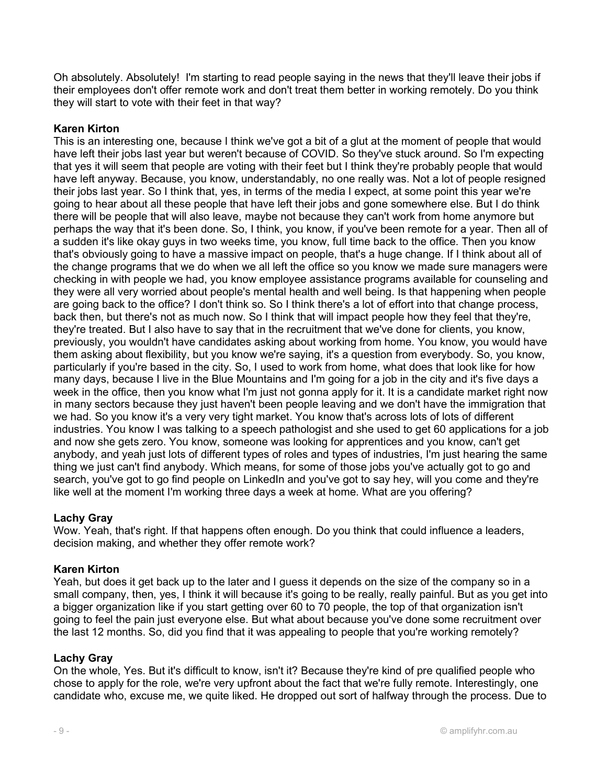Oh absolutely. Absolutely! I'm starting to read people saying in the news that they'll leave their jobs if their employees don't offer remote work and don't treat them better in working remotely. Do you think they will start to vote with their feet in that way?

## Karen Kirton

This is an interesting one, because I think we've got a bit of a glut at the moment of people that would have left their jobs last year but weren't because of COVID. So they've stuck around. So I'm expecting that yes it will seem that people are voting with their feet but I think they're probably people that would have left anyway. Because, you know, understandably, no one really was. Not a lot of people resigned their jobs last year. So I think that, yes, in terms of the media I expect, at some point this year we're going to hear about all these people that have left their jobs and gone somewhere else. But I do think there will be people that will also leave, maybe not because they can't work from home anymore but perhaps the way that it's been done. So, I think, you know, if you've been remote for a year. Then all of a sudden it's like okay guys in two weeks time, you know, full time back to the office. Then you know that's obviously going to have a massive impact on people, that's a huge change. If I think about all of the change programs that we do when we all left the office so you know we made sure managers were checking in with people we had, you know employee assistance programs available for counseling and they were all very worried about people's mental health and well being. Is that happening when people are going back to the office? I don't think so. So I think there's a lot of effort into that change process, back then, but there's not as much now. So I think that will impact people how they feel that they're, they're treated. But I also have to say that in the recruitment that we've done for clients, you know, previously, you wouldn't have candidates asking about working from home. You know, you would have them asking about flexibility, but you know we're saying, it's a question from everybody. So, you know, particularly if you're based in the city. So, I used to work from home, what does that look like for how many days, because I live in the Blue Mountains and I'm going for a job in the city and it's five days a week in the office, then you know what I'm just not gonna apply for it. It is a candidate market right now in many sectors because they just haven't been people leaving and we don't have the immigration that we had. So you know it's a very very tight market. You know that's across lots of lots of different industries. You know I was talking to a speech pathologist and she used to get 60 applications for a job and now she gets zero. You know, someone was looking for apprentices and you know, can't get anybody, and yeah just lots of different types of roles and types of industries, I'm just hearing the same thing we just can't find anybody. Which means, for some of those jobs you've actually got to go and search, you've got to go find people on LinkedIn and you've got to say hey, will you come and they're like well at the moment I'm working three days a week at home. What are you offering?

## Lachy Gray

Wow. Yeah, that's right. If that happens often enough. Do you think that could influence a leaders, decision making, and whether they offer remote work?

#### Karen Kirton

Yeah, but does it get back up to the later and I guess it depends on the size of the company so in a small company, then, yes, I think it will because it's going to be really, really painful. But as you get into a bigger organization like if you start getting over 60 to 70 people, the top of that organization isn't going to feel the pain just everyone else. But what about because you've done some recruitment over the last 12 months. So, did you find that it was appealing to people that you're working remotely?

#### Lachy Gray

On the whole, Yes. But it's difficult to know, isn't it? Because they're kind of pre qualified people who chose to apply for the role, we're very upfront about the fact that we're fully remote. Interestingly, one candidate who, excuse me, we quite liked. He dropped out sort of halfway through the process. Due to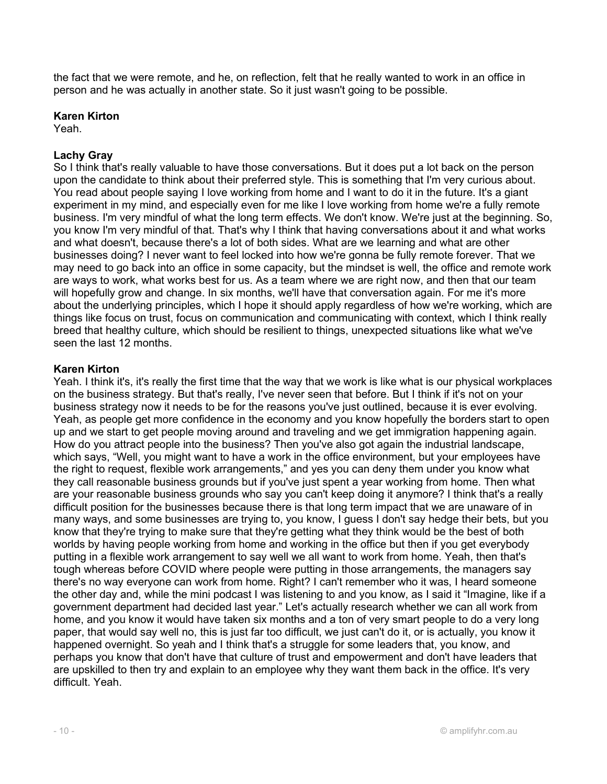the fact that we were remote, and he, on reflection, felt that he really wanted to work in an office in person and he was actually in another state. So it just wasn't going to be possible.

## Karen Kirton

Yeah.

## Lachy Gray

So I think that's really valuable to have those conversations. But it does put a lot back on the person upon the candidate to think about their preferred style. This is something that I'm very curious about. You read about people saying I love working from home and I want to do it in the future. It's a giant experiment in my mind, and especially even for me like I love working from home we're a fully remote business. I'm very mindful of what the long term effects. We don't know. We're just at the beginning. So, you know I'm very mindful of that. That's why I think that having conversations about it and what works and what doesn't, because there's a lot of both sides. What are we learning and what are other businesses doing? I never want to feel locked into how we're gonna be fully remote forever. That we may need to go back into an office in some capacity, but the mindset is well, the office and remote work are ways to work, what works best for us. As a team where we are right now, and then that our team will hopefully grow and change. In six months, we'll have that conversation again. For me it's more about the underlying principles, which I hope it should apply regardless of how we're working, which are things like focus on trust, focus on communication and communicating with context, which I think really breed that healthy culture, which should be resilient to things, unexpected situations like what we've seen the last 12 months.

## Karen Kirton

Yeah. I think it's, it's really the first time that the way that we work is like what is our physical workplaces on the business strategy. But that's really, I've never seen that before. But I think if it's not on your business strategy now it needs to be for the reasons you've just outlined, because it is ever evolving. Yeah, as people get more confidence in the economy and you know hopefully the borders start to open up and we start to get people moving around and traveling and we get immigration happening again. How do you attract people into the business? Then you've also got again the industrial landscape, which says, "Well, you might want to have a work in the office environment, but your employees have the right to request, flexible work arrangements," and yes you can deny them under you know what they call reasonable business grounds but if you've just spent a year working from home. Then what are your reasonable business grounds who say you can't keep doing it anymore? I think that's a really difficult position for the businesses because there is that long term impact that we are unaware of in many ways, and some businesses are trying to, you know, I guess I don't say hedge their bets, but you know that they're trying to make sure that they're getting what they think would be the best of both worlds by having people working from home and working in the office but then if you get everybody putting in a flexible work arrangement to say well we all want to work from home. Yeah, then that's tough whereas before COVID where people were putting in those arrangements, the managers say there's no way everyone can work from home. Right? I can't remember who it was, I heard someone the other day and, while the mini podcast I was listening to and you know, as I said it "Imagine, like if a government department had decided last year." Let's actually research whether we can all work from home, and you know it would have taken six months and a ton of very smart people to do a very long paper, that would say well no, this is just far too difficult, we just can't do it, or is actually, you know it happened overnight. So yeah and I think that's a struggle for some leaders that, you know, and perhaps you know that don't have that culture of trust and empowerment and don't have leaders that are upskilled to then try and explain to an employee why they want them back in the office. It's very difficult. Yeah.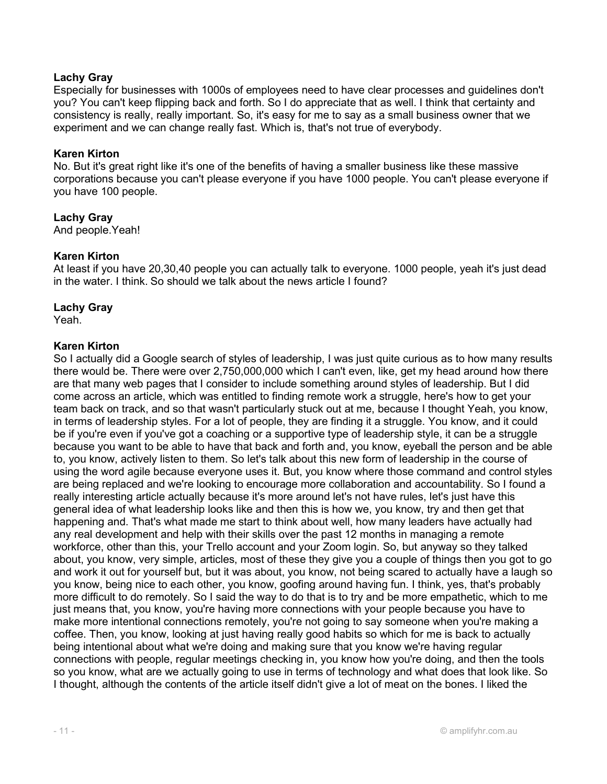## Lachy Gray

Especially for businesses with 1000s of employees need to have clear processes and guidelines don't you? You can't keep flipping back and forth. So I do appreciate that as well. I think that certainty and consistency is really, really important. So, it's easy for me to say as a small business owner that we experiment and we can change really fast. Which is, that's not true of everybody.

#### Karen Kirton

No. But it's great right like it's one of the benefits of having a smaller business like these massive corporations because you can't please everyone if you have 1000 people. You can't please everyone if you have 100 people.

Lachy Gray And people.Yeah!

#### Karen Kirton

At least if you have 20,30,40 people you can actually talk to everyone. 1000 people, yeah it's just dead in the water. I think. So should we talk about the news article I found?

#### Lachy Gray

Yeah.

#### Karen Kirton

So I actually did a Google search of styles of leadership, I was just quite curious as to how many results there would be. There were over 2,750,000,000 which I can't even, like, get my head around how there are that many web pages that I consider to include something around styles of leadership. But I did come across an article, which was entitled to finding remote work a struggle, here's how to get your team back on track, and so that wasn't particularly stuck out at me, because I thought Yeah, you know, in terms of leadership styles. For a lot of people, they are finding it a struggle. You know, and it could be if you're even if you've got a coaching or a supportive type of leadership style, it can be a struggle because you want to be able to have that back and forth and, you know, eyeball the person and be able to, you know, actively listen to them. So let's talk about this new form of leadership in the course of using the word agile because everyone uses it. But, you know where those command and control styles are being replaced and we're looking to encourage more collaboration and accountability. So I found a really interesting article actually because it's more around let's not have rules, let's just have this general idea of what leadership looks like and then this is how we, you know, try and then get that happening and. That's what made me start to think about well, how many leaders have actually had any real development and help with their skills over the past 12 months in managing a remote workforce, other than this, your Trello account and your Zoom login. So, but anyway so they talked about, you know, very simple, articles, most of these they give you a couple of things then you got to go and work it out for yourself but, but it was about, you know, not being scared to actually have a laugh so you know, being nice to each other, you know, goofing around having fun. I think, yes, that's probably more difficult to do remotely. So I said the way to do that is to try and be more empathetic, which to me just means that, you know, you're having more connections with your people because you have to make more intentional connections remotely, you're not going to say someone when you're making a coffee. Then, you know, looking at just having really good habits so which for me is back to actually being intentional about what we're doing and making sure that you know we're having regular connections with people, regular meetings checking in, you know how you're doing, and then the tools so you know, what are we actually going to use in terms of technology and what does that look like. So I thought, although the contents of the article itself didn't give a lot of meat on the bones. I liked the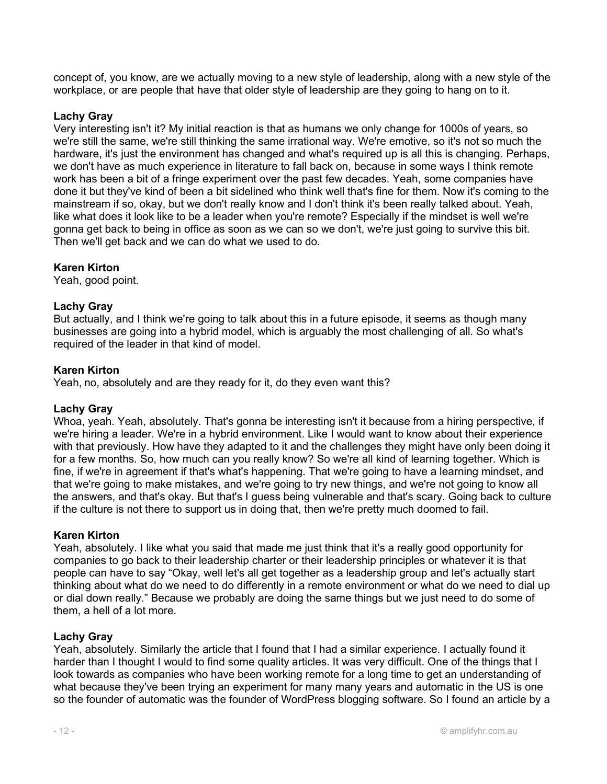concept of, you know, are we actually moving to a new style of leadership, along with a new style of the workplace, or are people that have that older style of leadership are they going to hang on to it.

## Lachy Gray

Very interesting isn't it? My initial reaction is that as humans we only change for 1000s of years, so we're still the same, we're still thinking the same irrational way. We're emotive, so it's not so much the hardware, it's just the environment has changed and what's required up is all this is changing. Perhaps, we don't have as much experience in literature to fall back on, because in some ways I think remote work has been a bit of a fringe experiment over the past few decades. Yeah, some companies have done it but they've kind of been a bit sidelined who think well that's fine for them. Now it's coming to the mainstream if so, okay, but we don't really know and I don't think it's been really talked about. Yeah, like what does it look like to be a leader when you're remote? Especially if the mindset is well we're gonna get back to being in office as soon as we can so we don't, we're just going to survive this bit. Then we'll get back and we can do what we used to do.

## Karen Kirton

Yeah, good point.

#### Lachy Gray

But actually, and I think we're going to talk about this in a future episode, it seems as though many businesses are going into a hybrid model, which is arguably the most challenging of all. So what's required of the leader in that kind of model.

#### Karen Kirton

Yeah, no, absolutely and are they ready for it, do they even want this?

#### Lachy Gray

Whoa, yeah. Yeah, absolutely. That's gonna be interesting isn't it because from a hiring perspective, if we're hiring a leader. We're in a hybrid environment. Like I would want to know about their experience with that previously. How have they adapted to it and the challenges they might have only been doing it for a few months. So, how much can you really know? So we're all kind of learning together. Which is fine, if we're in agreement if that's what's happening. That we're going to have a learning mindset, and that we're going to make mistakes, and we're going to try new things, and we're not going to know all the answers, and that's okay. But that's I guess being vulnerable and that's scary. Going back to culture if the culture is not there to support us in doing that, then we're pretty much doomed to fail.

#### Karen Kirton

Yeah, absolutely. I like what you said that made me just think that it's a really good opportunity for companies to go back to their leadership charter or their leadership principles or whatever it is that people can have to say "Okay, well let's all get together as a leadership group and let's actually start thinking about what do we need to do differently in a remote environment or what do we need to dial up or dial down really." Because we probably are doing the same things but we just need to do some of them, a hell of a lot more.

#### Lachy Gray

Yeah, absolutely. Similarly the article that I found that I had a similar experience. I actually found it harder than I thought I would to find some quality articles. It was very difficult. One of the things that I look towards as companies who have been working remote for a long time to get an understanding of what because they've been trying an experiment for many many years and automatic in the US is one so the founder of automatic was the founder of WordPress blogging software. So I found an article by a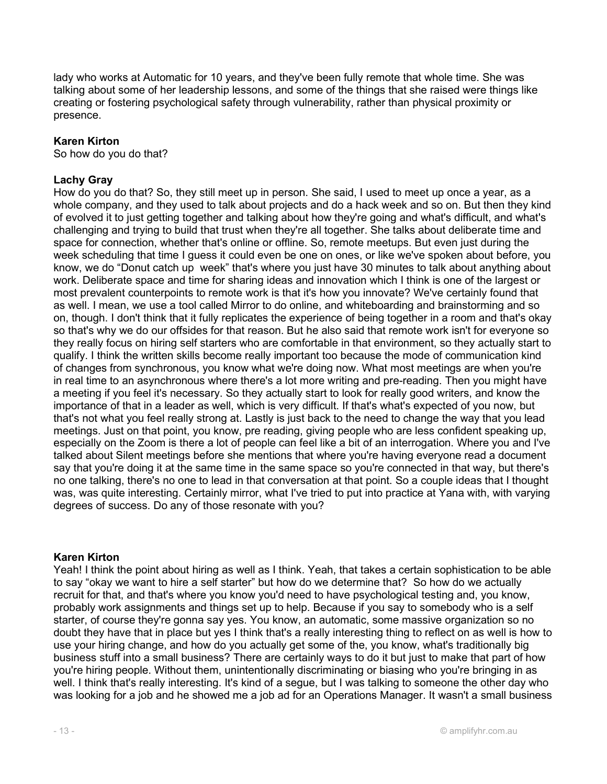lady who works at Automatic for 10 years, and they've been fully remote that whole time. She was talking about some of her leadership lessons, and some of the things that she raised were things like creating or fostering psychological safety through vulnerability, rather than physical proximity or presence.

## Karen Kirton

So how do you do that?

## Lachy Gray

How do you do that? So, they still meet up in person. She said, I used to meet up once a year, as a whole company, and they used to talk about projects and do a hack week and so on. But then they kind of evolved it to just getting together and talking about how they're going and what's difficult, and what's challenging and trying to build that trust when they're all together. She talks about deliberate time and space for connection, whether that's online or offline. So, remote meetups. But even just during the week scheduling that time I guess it could even be one on ones, or like we've spoken about before, you know, we do "Donut catch up week" that's where you just have 30 minutes to talk about anything about work. Deliberate space and time for sharing ideas and innovation which I think is one of the largest or most prevalent counterpoints to remote work is that it's how you innovate? We've certainly found that as well. I mean, we use a tool called Mirror to do online, and whiteboarding and brainstorming and so on, though. I don't think that it fully replicates the experience of being together in a room and that's okay so that's why we do our offsides for that reason. But he also said that remote work isn't for everyone so they really focus on hiring self starters who are comfortable in that environment, so they actually start to qualify. I think the written skills become really important too because the mode of communication kind of changes from synchronous, you know what we're doing now. What most meetings are when you're in real time to an asynchronous where there's a lot more writing and pre-reading. Then you might have a meeting if you feel it's necessary. So they actually start to look for really good writers, and know the importance of that in a leader as well, which is very difficult. If that's what's expected of you now, but that's not what you feel really strong at. Lastly is just back to the need to change the way that you lead meetings. Just on that point, you know, pre reading, giving people who are less confident speaking up, especially on the Zoom is there a lot of people can feel like a bit of an interrogation. Where you and I've talked about Silent meetings before she mentions that where you're having everyone read a document say that you're doing it at the same time in the same space so you're connected in that way, but there's no one talking, there's no one to lead in that conversation at that point. So a couple ideas that I thought was, was quite interesting. Certainly mirror, what I've tried to put into practice at Yana with, with varying degrees of success. Do any of those resonate with you?

#### Karen Kirton

Yeah! I think the point about hiring as well as I think. Yeah, that takes a certain sophistication to be able to say "okay we want to hire a self starter" but how do we determine that? So how do we actually recruit for that, and that's where you know you'd need to have psychological testing and, you know, probably work assignments and things set up to help. Because if you say to somebody who is a self starter, of course they're gonna say yes. You know, an automatic, some massive organization so no doubt they have that in place but yes I think that's a really interesting thing to reflect on as well is how to use your hiring change, and how do you actually get some of the, you know, what's traditionally big business stuff into a small business? There are certainly ways to do it but just to make that part of how you're hiring people. Without them, unintentionally discriminating or biasing who you're bringing in as well. I think that's really interesting. It's kind of a segue, but I was talking to someone the other day who was looking for a job and he showed me a job ad for an Operations Manager. It wasn't a small business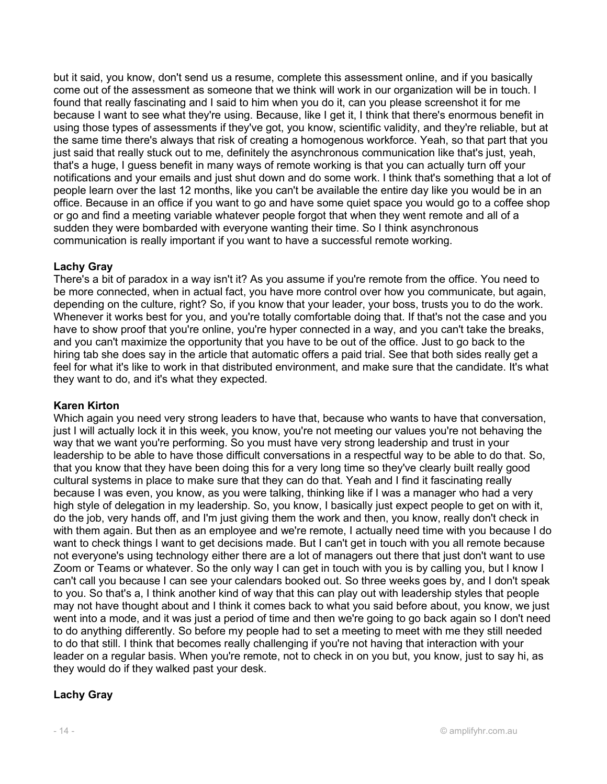but it said, you know, don't send us a resume, complete this assessment online, and if you basically come out of the assessment as someone that we think will work in our organization will be in touch. I found that really fascinating and I said to him when you do it, can you please screenshot it for me because I want to see what they're using. Because, like I get it, I think that there's enormous benefit in using those types of assessments if they've got, you know, scientific validity, and they're reliable, but at the same time there's always that risk of creating a homogenous workforce. Yeah, so that part that you just said that really stuck out to me, definitely the asynchronous communication like that's just, yeah, that's a huge, I guess benefit in many ways of remote working is that you can actually turn off your notifications and your emails and just shut down and do some work. I think that's something that a lot of people learn over the last 12 months, like you can't be available the entire day like you would be in an office. Because in an office if you want to go and have some quiet space you would go to a coffee shop or go and find a meeting variable whatever people forgot that when they went remote and all of a sudden they were bombarded with everyone wanting their time. So I think asynchronous communication is really important if you want to have a successful remote working.

## Lachy Gray

There's a bit of paradox in a way isn't it? As you assume if you're remote from the office. You need to be more connected, when in actual fact, you have more control over how you communicate, but again, depending on the culture, right? So, if you know that your leader, your boss, trusts you to do the work. Whenever it works best for you, and you're totally comfortable doing that. If that's not the case and you have to show proof that you're online, you're hyper connected in a way, and you can't take the breaks, and you can't maximize the opportunity that you have to be out of the office. Just to go back to the hiring tab she does say in the article that automatic offers a paid trial. See that both sides really get a feel for what it's like to work in that distributed environment, and make sure that the candidate. It's what they want to do, and it's what they expected.

## Karen Kirton

Which again you need very strong leaders to have that, because who wants to have that conversation, just I will actually lock it in this week, you know, you're not meeting our values you're not behaving the way that we want you're performing. So you must have very strong leadership and trust in your leadership to be able to have those difficult conversations in a respectful way to be able to do that. So, that you know that they have been doing this for a very long time so they've clearly built really good cultural systems in place to make sure that they can do that. Yeah and I find it fascinating really because I was even, you know, as you were talking, thinking like if I was a manager who had a very high style of delegation in my leadership. So, you know, I basically just expect people to get on with it, do the job, very hands off, and I'm just giving them the work and then, you know, really don't check in with them again. But then as an employee and we're remote, I actually need time with you because I do want to check things I want to get decisions made. But I can't get in touch with you all remote because not everyone's using technology either there are a lot of managers out there that just don't want to use Zoom or Teams or whatever. So the only way I can get in touch with you is by calling you, but I know I can't call you because I can see your calendars booked out. So three weeks goes by, and I don't speak to you. So that's a, I think another kind of way that this can play out with leadership styles that people may not have thought about and I think it comes back to what you said before about, you know, we just went into a mode, and it was just a period of time and then we're going to go back again so I don't need to do anything differently. So before my people had to set a meeting to meet with me they still needed to do that still. I think that becomes really challenging if you're not having that interaction with your leader on a regular basis. When you're remote, not to check in on you but, you know, just to say hi, as they would do if they walked past your desk.

## Lachy Gray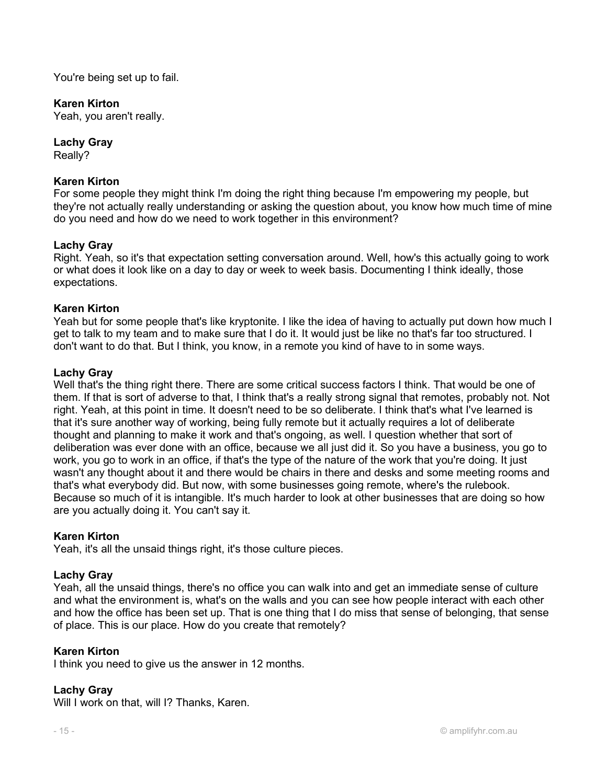You're being set up to fail.

## Karen Kirton

Yeah, you aren't really.

Lachy Gray Really?

## Karen Kirton

For some people they might think I'm doing the right thing because I'm empowering my people, but they're not actually really understanding or asking the question about, you know how much time of mine do you need and how do we need to work together in this environment?

## Lachy Gray

Right. Yeah, so it's that expectation setting conversation around. Well, how's this actually going to work or what does it look like on a day to day or week to week basis. Documenting I think ideally, those expectations.

## Karen Kirton

Yeah but for some people that's like kryptonite. I like the idea of having to actually put down how much I get to talk to my team and to make sure that I do it. It would just be like no that's far too structured. I don't want to do that. But I think, you know, in a remote you kind of have to in some ways.

## Lachy Gray

Well that's the thing right there. There are some critical success factors I think. That would be one of them. If that is sort of adverse to that, I think that's a really strong signal that remotes, probably not. Not right. Yeah, at this point in time. It doesn't need to be so deliberate. I think that's what I've learned is that it's sure another way of working, being fully remote but it actually requires a lot of deliberate thought and planning to make it work and that's ongoing, as well. I question whether that sort of deliberation was ever done with an office, because we all just did it. So you have a business, you go to work, you go to work in an office, if that's the type of the nature of the work that you're doing. It just wasn't any thought about it and there would be chairs in there and desks and some meeting rooms and that's what everybody did. But now, with some businesses going remote, where's the rulebook. Because so much of it is intangible. It's much harder to look at other businesses that are doing so how are you actually doing it. You can't say it.

#### Karen Kirton

Yeah, it's all the unsaid things right, it's those culture pieces.

## Lachy Gray

Yeah, all the unsaid things, there's no office you can walk into and get an immediate sense of culture and what the environment is, what's on the walls and you can see how people interact with each other and how the office has been set up. That is one thing that I do miss that sense of belonging, that sense of place. This is our place. How do you create that remotely?

#### Karen Kirton

I think you need to give us the answer in 12 months.

## Lachy Gray

Will I work on that, will I? Thanks, Karen.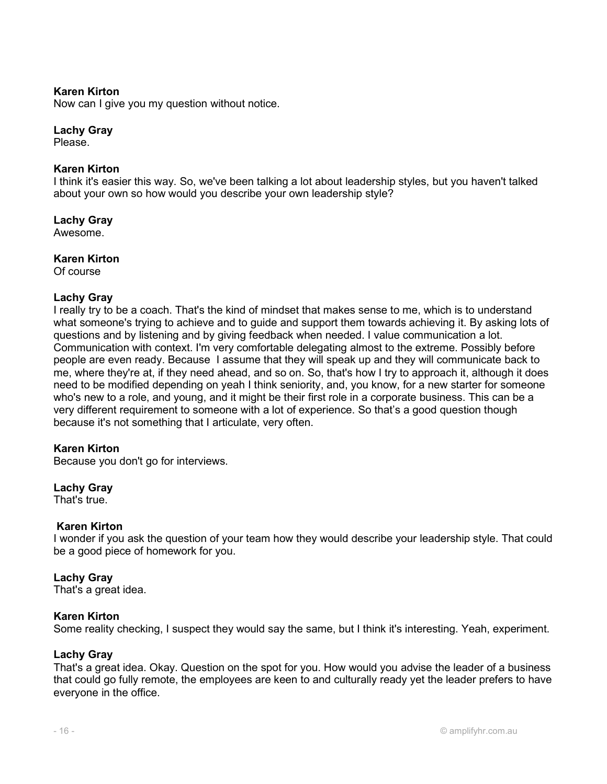Now can I give you my question without notice.

#### Lachy Gray

Please.

#### Karen Kirton

I think it's easier this way. So, we've been talking a lot about leadership styles, but you haven't talked about your own so how would you describe your own leadership style?

#### Lachy Gray

Awesome.

#### Karen Kirton

Of course

#### Lachy Gray

I really try to be a coach. That's the kind of mindset that makes sense to me, which is to understand what someone's trying to achieve and to guide and support them towards achieving it. By asking lots of questions and by listening and by giving feedback when needed. I value communication a lot. Communication with context. I'm very comfortable delegating almost to the extreme. Possibly before people are even ready. Because I assume that they will speak up and they will communicate back to me, where they're at, if they need ahead, and so on. So, that's how I try to approach it, although it does need to be modified depending on yeah I think seniority, and, you know, for a new starter for someone who's new to a role, and young, and it might be their first role in a corporate business. This can be a very different requirement to someone with a lot of experience. So that's a good question though because it's not something that I articulate, very often.

#### Karen Kirton

Because you don't go for interviews.

#### Lachy Gray

That's true.

#### Karen Kirton

I wonder if you ask the question of your team how they would describe your leadership style. That could be a good piece of homework for you.

#### Lachy Gray

That's a great idea.

#### Karen Kirton

Some reality checking, I suspect they would say the same, but I think it's interesting. Yeah, experiment.

#### Lachy Gray

That's a great idea. Okay. Question on the spot for you. How would you advise the leader of a business that could go fully remote, the employees are keen to and culturally ready yet the leader prefers to have everyone in the office.